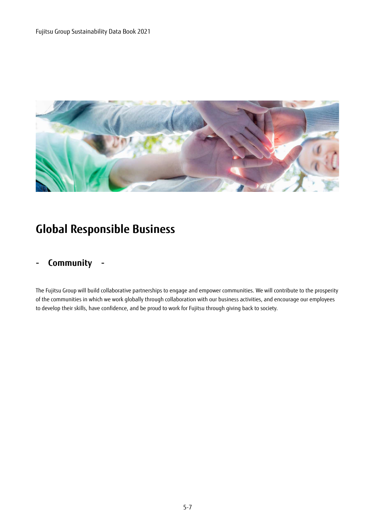

## **Global Responsible Business**

### **- Community -**

The Fujitsu Group will build collaborative partnerships to engage and empower communities. We will contribute to the prosperity of the communities in which we work globally through collaboration with our business activities, and encourage our employees to develop their skills, have confidence, and be proud to work for Fujitsu through giving back to society.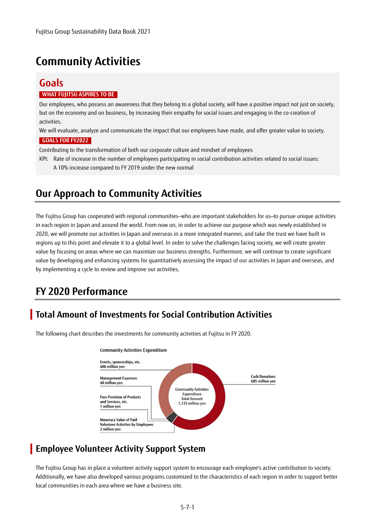## **Community Activities**

### **Goals WHAT FUJITSU ASPIRES TO BE**

Our employees, who possess an awareness that they belong to a global society, will have a positive impact not just on society, but on the economy and on business, by increasing their empathy for social issues and engaging in the co-creation of activities.

We will evaluate, analyze and communicate the impact that our employees have made, and offer greater value to society.  **GOALS FOR FY2022** 

Contributing to the transformation of both our corporate culture and mindset of employees

KPI: Rate of increase in the number of employees participating in social contribution activities related to social issues: A 10% increase compared to FY 2019 under the new normal

### **Our Approach to Community Activities**

The Fujitsu Group has cooperated with regional communities—who are important stakeholders for us—to pursue unique activities in each region in Japan and around the world. From now on, in order to achieve our purpose which was newly established in 2020, we will promote our activities in Japan and overseas in a more integrated manner, and take the trust we have built in regions up to this point and elevate it to a global level. In order to solve the challenges facing society, we will create greater value by focusing on areas where we can maximize our business strengths. Furthermore, we will continue to create significant value by developing and enhancing systems for quantitatively assessing the impact of our activities in Japan and overseas, and by implementing a cycle to review and improve our activities.

## **FY 2020 Performance**

### **Total Amount of Investments for Social Contribution Activities**



The following chart describes the investments for community activities at Fujitsu in FY 2020.

### **Employee Volunteer Activity Support System**

The Fujitsu Group has in place a volunteer activity support system to encourage each employee's active contribution to society. Additionally, we have also developed various programs customized to the characteristics of each region in order to support better local communities in each area where we have a business site.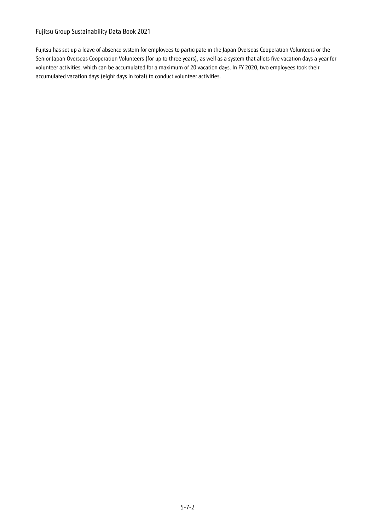#### Fujitsu Group Sustainability Data Book 2021

Fujitsu has set up a leave of absence system for employees to participate in the Japan Overseas Cooperation Volunteers or the Senior Japan Overseas Cooperation Volunteers (for up to three years), as well as a system that allots five vacation days a year for volunteer activities, which can be accumulated for a maximum of 20 vacation days. In FY 2020, two employees took their accumulated vacation days (eight days in total) to conduct volunteer activities.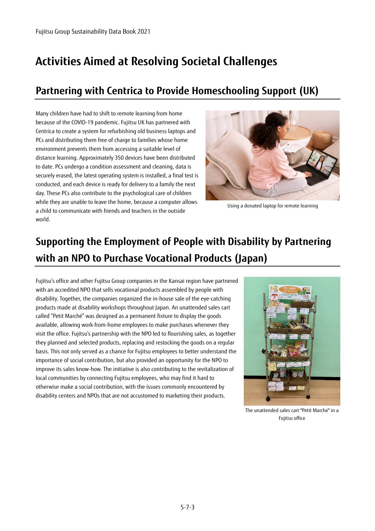## **Activities Aimed at Resolving Societal Challenges**

## **Partnering with Centrica to Provide Homeschooling Support (UK)**

Many children have had to shift to remote learning from home because of the COVID-19 pandemic. Fujitsu UK has partnered with Centrica to create a system for refurbishing old business laptops and PCs and distributing them free of charge to families whose home environment prevents them from accessing a suitable level of distance learning. Approximately 350 devices have been distributed to date. PCs undergo a condition assessment and cleaning, data is securely erased, the latest operating system is installed, a final test is conducted, and each device is ready for delivery to a family the next day. These PCs also contribute to the psychological care of children while they are unable to leave the home, because a computer allows a child to communicate with friends and teachers in the outside world.



Using a donated laptop for remote learning

# **Supporting the Employment of People with Disability by Partnering with an NPO to Purchase Vocational Products (Japan)**

Fujitsu's office and other Fujitsu Group companies in the Kansai region have partnered with an accredited NPO that sells vocational products assembled by people with disability. Together, the companies organized the in-house sale of the eye-catching products made at disability workshops throughout Japan. An unattended sales cart called "Petit Marché" was designed as a permanent fixture to display the goods available, allowing work-from-home employees to make purchases whenever they visit the office. Fujitsu's partnership with the NPO led to flourishing sales, as together they planned and selected products, replacing and restocking the goods on a regular basis. This not only served as a chance for Fujitsu employees to better understand the importance of social contribution, but also provided an opportunity for the NPO to improve its sales know-how. The initiative is also contributing to the revitalization of local communities by connecting Fujitsu employees, who may find it hard to otherwise make a social contribution, with the issues commonly encountered by disability centers and NPOs that are not accustomed to marketing their products.



The unattended sales cart "Petit Marché" in a Fujitsu office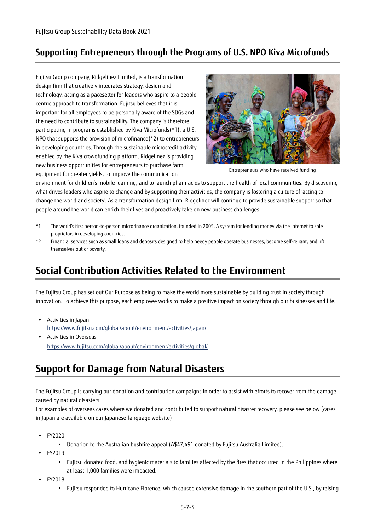### **Supporting Entrepreneurs through the Programs of U.S. NPO Kiva Microfunds**

Fujitsu Group company, Ridgelinez Limited, is a transformation design firm that creatively integrates strategy, design and technology, acting as a pacesetter for leaders who aspire to a peoplecentric approach to transformation. Fujitsu believes that it is important for all employees to be personally aware of the SDGs and the need to contribute to sustainability. The company is therefore participating in programs established by Kiva Microfunds(\*1), a U.S. NPO that supports the provision of microfinance(\*2) to entrepreneurs in developing countries. Through the sustainable microcredit activity enabled by the Kiva crowdfunding platform, Ridgelinez is providing new business opportunities for entrepreneurs to purchase farm equipment for greater yields, to improve the communication



Entrepreneurs who have received funding

environment for children's mobile learning, and to launch pharmacies to support the health of local communities. By discovering what drives leaders who aspire to change and by supporting their activities, the company is fostering a culture of 'acting to change the world and society'. As a transformation design firm, Ridgelinez will continue to provide sustainable support so that people around the world can enrich their lives and proactively take on new business challenges.

- \*1 The world's first person-to-person microfinance organization, founded in 2005. A system for lending money via the Internet to sole proprietors in developing countries.
- \*2 Financial services such as small loans and deposits designed to help needy people operate businesses, become self-reliant, and lift themselves out of poverty.

### **Social Contribution Activities Related to the Environment**

The Fujitsu Group has set out Our Purpose as being to make the world more sustainable by building trust in society through innovation. To achieve this purpose, each employee works to make a positive impact on society through our businesses and life.

- Activities in Japan https://www.fujitsu.com/global[/about/environment/activities/japan/](https://www.fujitsu.com/global/about/environment/activities/japan/)
- Activities in Overseas https://www.fujitsu.com/global[/about/environment/activities/global/](https://www.fujitsu.com/global/about/environment/activities/global/)

### **Support for Damage from Natural Disasters**

The Fujitsu Group is carrying out donation and contribution campaigns in order to assist with efforts to recover from the damage caused by natural disasters.

For examples of overseas cases where we donated and contributed to support natural disaster recovery, please see below (cases in Japan are available on our Japanese-language website)

- FY2020
	- Donation to the Australian bushfire appeal (A\$47,491 donated by Fujitsu Australia Limited).
- FY2019
	- Fujitsu donated food, and hygienic materials to families affected by the fires that occurred in the Philippines where at least 1,000 families were impacted.
- FY2018
	- Fujitsu responded to Hurricane Florence, which caused extensive damage in the southern part of the U.S., by raising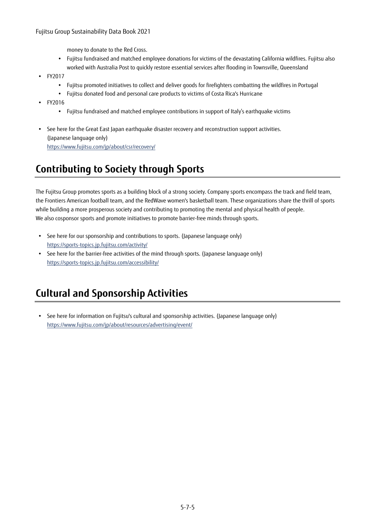#### Fujitsu Group Sustainability Data Book 2021

money to donate to the Red Cross.

- Fujitsu fundraised and matched employee donations for victims of the devastating California wildfires. Fujitsu also worked with Australia Post to quickly restore essential services after flooding in Townsville, Queensland
- FY2017
	- Fujitsu promoted initiatives to collect and deliver goods for firefighters combatting the wildfires in Portugal
	- Fujitsu donated food and personal care products to victims of Costa Rica's Hurricane
- FY2016
	- Fujitsu fundraised and matched employee contributions in support of Italy's earthquake victims
- See here for the Great East Japan earthquake disaster recovery and reconstruction support activities. (Japanese language only) https://www.fujitsu.com/jp/about/csr/recovery/

## **Contributing to Society through Sports**

The Fujitsu Group promotes sports as a building block of a strong society. Company sports encompass the track and field team, the Frontiers American football team, and the RedWave women's basketball team. These organizations share the thrill of sports while building a more prosperous society and contributing to promoting the mental and physical health of people. We also cosponsor sports and promote initiatives to promote barrier-free minds through sports.

- See here for our sponsorship and contributions to sports. (Japanese language only) https://sports-topics.jp.fujitsu.com/activity/
- See here for the barrier-free activities of the mind through sports. (Japanese language only) https://sports-topics.jp.fujitsu.com/accessibility/

## **Cultural and Sponsorship Activities**

 See here for information on Fujitsu's cultural and sponsorship activities. (Japanese language only) https://www.fujitsu.com/jp/about/resources/advertising/event/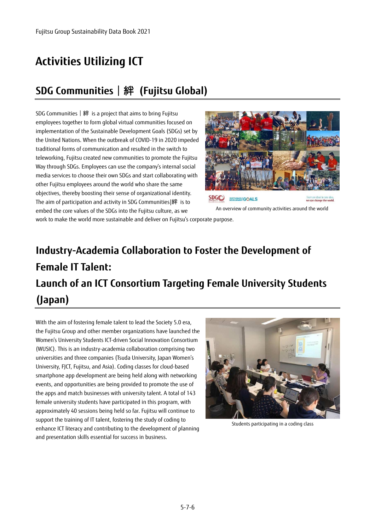# **Activities Utilizing ICT**

## **SDG Communities**|絆 **(Fujitsu Global)**

SDG Communities|絆 is a project that aims to bring Fujitsu employees together to form global virtual communities focused on implementation of the Sustainable Development Goals (SDGs) set by the United Nations. When the outbreak of COVID-19 in 2020 impeded traditional forms of communication and resulted in the switch to teleworking, Fujitsu created new communities to promote the Fujitsu Way through SDGs. Employees can use the company's internal social media services to choose their own SDGs and start collaborating with other Fujitsu employees around the world who share the same objectives, thereby boosting their sense of organizational identity. The aim of participation and activity in SDG Communities|絆 is to embed the core values of the SDGs into the Fujitsu culture, as we



An overview of community activities around the world

work to make the world more sustainable and deliver on Fujitsu's corporate purpose.

# **Industry-Academia Collaboration to Foster the Development of Female IT Talent: Launch of an ICT Consortium Targeting Female University Students (Japan)**

With the aim of fostering female talent to lead the Society 5.0 era, the Fujitsu Group and other member organizations have launched the Women's University Students ICT-driven Social Innovation Consortium (WUSIC). This is an industry-academia collaboration comprising two universities and three companies (Tsuda University, Japan Women's University, FJCT, Fujitsu, and Asia). Coding classes for cloud-based smartphone app development are being held along with networking events, and opportunities are being provided to promote the use of the apps and match businesses with university talent. A total of 143 female university students have participated in this program, with approximately 40 sessions being held so far. Fujitsu will continue to support the training of IT talent, fostering the study of coding to enhance ICT literacy and contributing to the development of planning and presentation skills essential for success in business.



Students participating in a coding class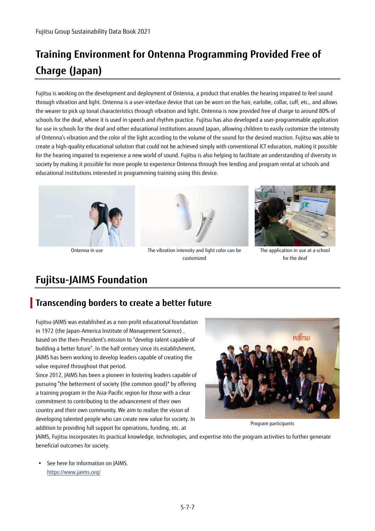# **Training Environment for Ontenna Programming Provided Free of Charge (Japan)**

Fujitsu is working on the development and deployment of Ontenna, a product that enables the hearing impaired to feel sound through vibration and light. Ontenna is a user-interface device that can be worn on the hair, earlobe, collar, cuff, etc., and allows the wearer to pick up tonal characteristics through vibration and light. Ontenna is now provided free of charge to around 80% of schools for the deaf, where it is used in speech and rhythm practice. Fujitsu has also developed a user-programmable application for use in schools for the deaf and other educational institutions around Japan, allowing children to easily customize the intensity of Ontenna's vibration and the color of the light according to the volume of the sound for the desired reaction. Fujitsu was able to create a high-quality educational solution that could not be achieved simply with conventional ICT education, making it possible for the hearing impaired to experience a new world of sound. Fujitsu is also helping to facilitate an understanding of diversity in society by making it possible for more people to experience Ontenna through free lending and program rental at schools and educational institutions interested in programming training using this device.





Ontenna in use The vibration intensity and light color can be customized



The application in use at a school for the deaf

### **Fujitsu-JAIMS Foundation**

### **Transcending borders to create a better future**

Fujitsu-JAIMS was established as a non-profit educational foundation in 1972 (the Japan-America Institute of Management Science) , based on the then-President's mission to "develop talent capable of building a better future". In the half century since its establishment, JAIMS has been working to develop leaders capable of creating the value required throughout that period.

Since 2012, JAIMS has been a pioneer in fostering leaders capable of pursuing "the betterment of society (the common good)" by offering a training program in the Asia-Pacific region for those with a clear commitment to contributing to the advancement of their own country and their own community. We aim to realize the vision of developing talented people who can create new value for society. In addition to providing full support for operations, funding, etc. at



Program participants

JAIMS, Fujitsu incorporates its practical knowledge, technologies, and expertise into the program activities to further generate beneficial outcomes for society.

 See here for information on JAIMS. https://www.jaims.org/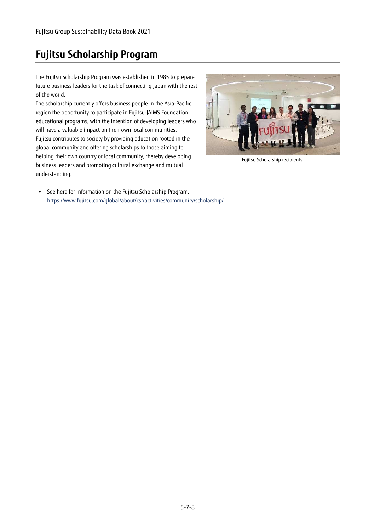## **Fujitsu Scholarship Program**

The Fujitsu Scholarship Program was established in 1985 to prepare future business leaders for the task of connecting Japan with the rest of the world.

The scholarship currently offers business people in the Asia-Pacific region the opportunity to participate in Fujitsu-JAIMS Foundation educational programs, with the intention of developing leaders who will have a valuable impact on their own local communities. Fujitsu contributes to society by providing education rooted in the global community and offering scholarships to those aiming to helping their own country or local community, thereby developing business leaders and promoting cultural exchange and mutual understanding.



Fujitsu Scholarship recipients

• See here for information on the Fujitsu Scholarship Program. https://www.fujitsu.com/global/about/csr/activities/community/scholarship/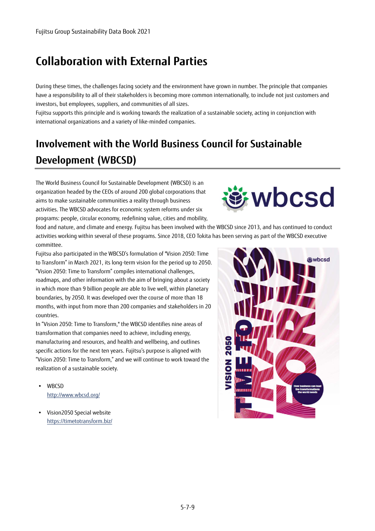## **Collaboration with External Parties**

During these times, the challenges facing society and the environment have grown in number. The principle that companies have a responsibility to all of their stakeholders is becoming more common internationally, to include not just customers and investors, but employees, suppliers, and communities of all sizes.

Fujitsu supports this principle and is working towards the realization of a sustainable society, acting in conjunction with international organizations and a variety of like-minded companies.

# **Involvement with the World Business Council for Sustainable Development (WBCSD)**

The World Business Council for Sustainable Development (WBCSD) is an organization headed by the CEOs of around 200 global corporations that aims to make sustainable communities a reality through business activities. The WBCSD advocates for economic system reforms under six programs: people, circular economy, redefining value, cities and mobility,



food and nature, and climate and energy. Fujitsu has been involved with the WBCSD since 2013, and has continued to conduct activities working within several of these programs. Since 2018, CEO Tokita has been serving as part of the WBCSD executive committee.

Fujitsu also participated in the WBCSD's formulation of "Vision 2050: Time to Transform" in March 2021, its long-term vision for the period up to 2050. "Vision 2050: Time to Transform" compiles international challenges, roadmaps, and other information with the aim of bringing about a society in which more than 9 billion people are able to live well, within planetary boundaries, by 2050. It was developed over the course of more than 18 months, with input from more than 200 companies and stakeholders in 20 countries.

In "Vision 2050: Time to Transform," the WBCSD identifies nine areas of transformation that companies need to achieve, including energy, manufacturing and resources, and health and wellbeing, and outlines specific actions for the next ten years. Fujitsu's purpose is aligned with "Vision 2050: Time to Transform," and we will continue to work toward the realization of a sustainable society.

- WBCSD http://www.wbcsd.org/
- Vision2050 Special website https://timetotransform.biz/